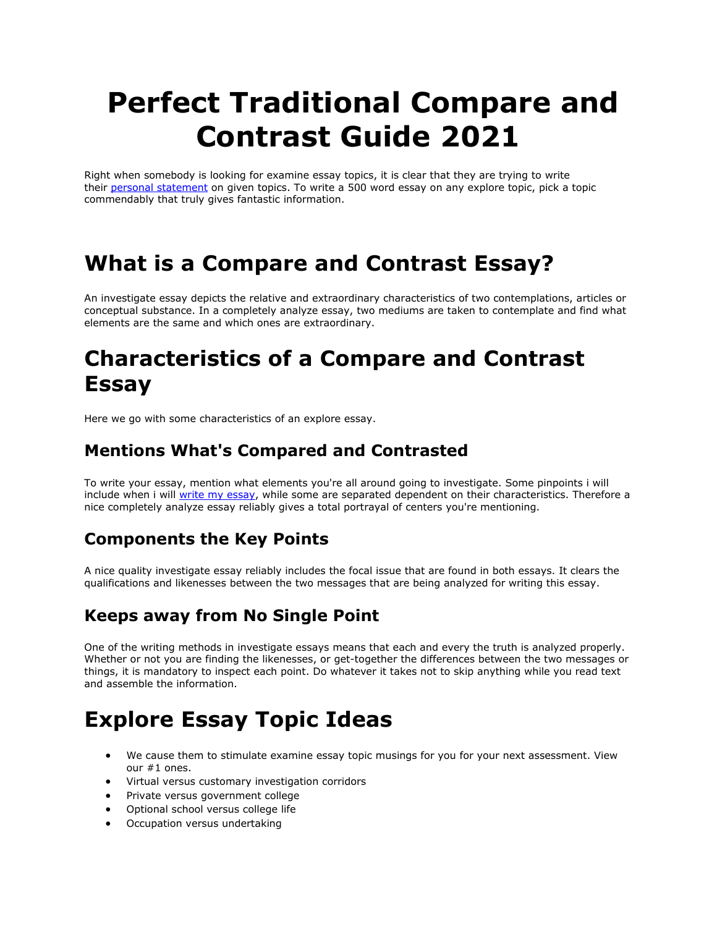# **Perfect Traditional Compare and Contrast Guide 2021**

Right when somebody is looking for examine essay topics, it is clear that they are trying to write their [personal statement](https://perfectessaywriting.com/personal-statement) on given topics. To write a 500 word essay on any explore topic, pick a topic commendably that truly gives fantastic information.

### **What is a Compare and Contrast Essay?**

An investigate essay depicts the relative and extraordinary characteristics of two contemplations, articles or conceptual substance. In a completely analyze essay, two mediums are taken to contemplate and find what elements are the same and which ones are extraordinary.

### **Characteristics of a Compare and Contrast Essay**

Here we go with some characteristics of an explore essay.

#### **Mentions What's Compared and Contrasted**

To write your essay, mention what elements you're all around going to investigate. Some pinpoints i will include when i will [write my essay,](https://perfectessaywriting.com/write-my-essay) while some are separated dependent on their characteristics. Therefore a nice completely analyze essay reliably gives a total portrayal of centers you're mentioning.

#### **Components the Key Points**

A nice quality investigate essay reliably includes the focal issue that are found in both essays. It clears the qualifications and likenesses between the two messages that are being analyzed for writing this essay.

#### **Keeps away from No Single Point**

One of the writing methods in investigate essays means that each and every the truth is analyzed properly. Whether or not you are finding the likenesses, or get-together the differences between the two messages or things, it is mandatory to inspect each point. Do whatever it takes not to skip anything while you read text and assemble the information.

### **Explore Essay Topic Ideas**

- We cause them to stimulate examine essay topic musings for you for your next assessment. View our #1 ones.
- Virtual versus customary investigation corridors
- Private versus government college
- Optional school versus college life
- Occupation versus undertaking